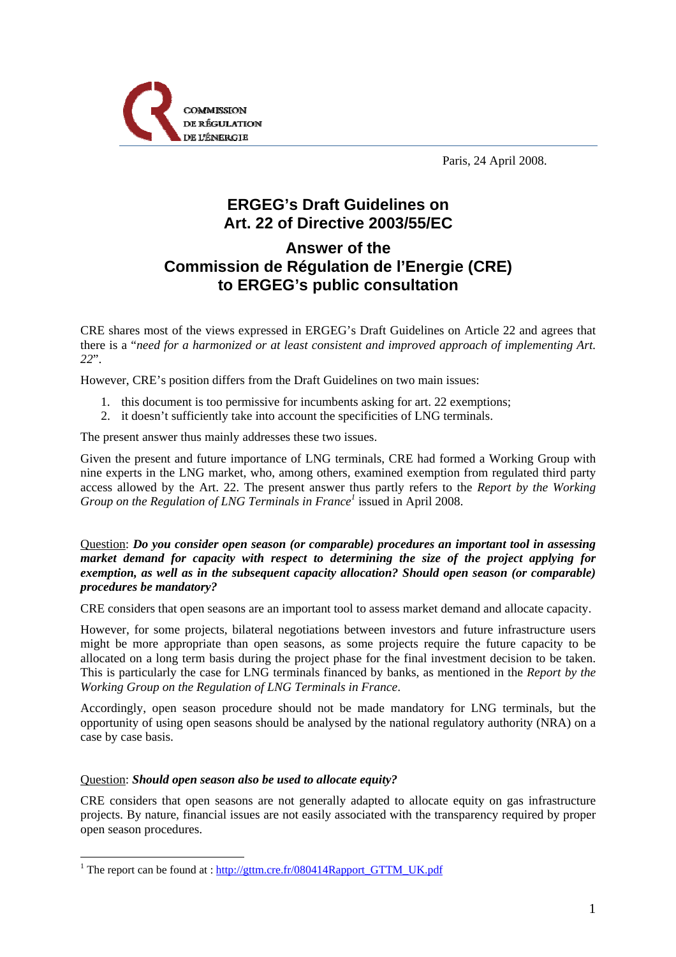

Paris, 24 April 2008.

# **ERGEG's Draft Guidelines on Art. 22 of Directive 2003/55/EC**

## **Answer of the Commission de Régulation de l'Energie (CRE) to ERGEG's public consultation**

CRE shares most of the views expressed in ERGEG's Draft Guidelines on Article 22 and agrees that there is a "*need for a harmonized or at least consistent and improved approach of implementing Art. 22*".

However, CRE's position differs from the Draft Guidelines on two main issues:

- 1. this document is too permissive for incumbents asking for art. 22 exemptions;
- 2. it doesn't sufficiently take into account the specificities of LNG terminals.

The present answer thus mainly addresses these two issues.

Given the present and future importance of LNG terminals, CRE had formed a Working Group with nine experts in the LNG market, who, among others, examined exemption from regulated third party access allowed by the Art. 22. The present answer thus partly refers to the *Report by the Working*  Group on the Regulation of LNG Terminals in France<sup>1</sup> issued in April 2008.

### Question: *Do you consider open season (or comparable) procedures an important tool in assessing market demand for capacity with respect to determining the size of the project applying for exemption, as well as in the subsequent capacity allocation? Should open season (or comparable) procedures be mandatory?*

CRE considers that open seasons are an important tool to assess market demand and allocate capacity.

However, for some projects, bilateral negotiations between investors and future infrastructure users might be more appropriate than open seasons, as some projects require the future capacity to be allocated on a long term basis during the project phase for the final investment decision to be taken. This is particularly the case for LNG terminals financed by banks, as mentioned in the *Report by the Working Group on the Regulation of LNG Terminals in France*.

Accordingly, open season procedure should not be made mandatory for LNG terminals, but the opportunity of using open seasons should be analysed by the national regulatory authority (NRA) on a case by case basis.

#### Question: *Should open season also be used to allocate equity?*

1

CRE considers that open seasons are not generally adapted to allocate equity on gas infrastructure projects. By nature, financial issues are not easily associated with the transparency required by proper open season procedures.

<sup>&</sup>lt;sup>1</sup> The report can be found at :  $\frac{http://gttm.cre.fr/080414Rapport-GTTM_UK.pdf}{http://gttm.cre.fr/080414Rapport_GTTM_UK.pdf}$